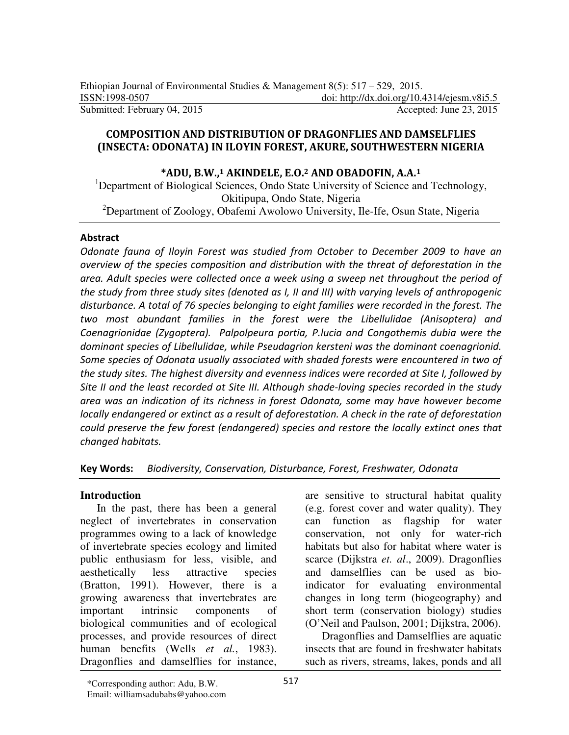### **COMPOSITION AND DISTRIBUTION OF DRAGONFLIES AND DAMSELFLIES (INSECTA: ODONATA) IN ILOYIN FOREST, AKURE, SOUTHWESTERN NIGERIA**

### **\*ADU, B.W.,1 AKINDELE, E.O.2 AND OBADOFIN, A.A.<sup>1</sup>**

<sup>1</sup>Department of Biological Sciences, Ondo State University of Science and Technology, Okitipupa, Ondo State, Nigeria <sup>2</sup>Department of Zoology, Obafemi Awolowo University, Ile-Ife, Osun State, Nigeria

#### **Abstract**

*Odonate fauna of Iloyin Forest was studied from October to December 2009 to have an overview of the species composition and distribution with the threat of deforestation in the area. Adult species were collected once a week using a sweep net throughout the period of the study from three study sites (denoted as I, II and III) with varying levels of anthropogenic disturbance. A total of 76 species belonging to eight families were recorded in the forest. The two most abundant families in the forest were the Libellulidae (Anisoptera) and Coenagrionidae (Zygoptera). Palpolpeura portia, P.lucia and Congothemis dubia were the dominant species of Libellulidae, while Pseudagrion kersteni was the dominant coenagrionid. Some species of Odonata usually associated with shaded forests were encountered in two of the study sites. The highest diversity and evenness indices were recorded at Site I, followed by Site II and the least recorded at Site III. Although shade-loving species recorded in the study area was an indication of its richness in forest Odonata, some may have however become locally endangered or extinct as a result of deforestation. A check in the rate of deforestation could preserve the few forest (endangered) species and restore the locally extinct ones that changed habitats.* 

**Key Words:** *Biodiversity, Conservation, Disturbance, Forest, Freshwater, Odonata* 

#### **Introduction**

In the past, there has been a general neglect of invertebrates in conservation programmes owing to a lack of knowledge of invertebrate species ecology and limited public enthusiasm for less, visible, and aesthetically less attractive species (Bratton, 1991). However, there is a growing awareness that invertebrates are important intrinsic components of biological communities and of ecological processes, and provide resources of direct human benefits (Wells *et al.*, 1983). Dragonflies and damselflies for instance,

are sensitive to structural habitat quality (e.g. forest cover and water quality). They can function as flagship for water conservation, not only for water-rich habitats but also for habitat where water is scarce (Dijkstra *et. al*., 2009). Dragonflies and damselflies can be used as bioindicator for evaluating environmental changes in long term (biogeography) and short term (conservation biology) studies (O'Neil and Paulson, 2001; Dijkstra, 2006).

Dragonflies and Damselflies are aquatic insects that are found in freshwater habitats such as rivers, streams, lakes, ponds and all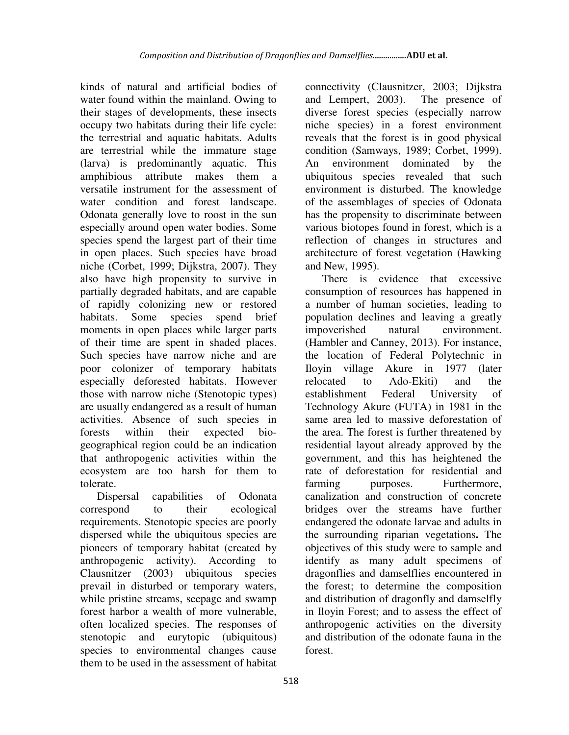kinds of natural and artificial bodies of water found within the mainland. Owing to their stages of developments, these insects occupy two habitats during their life cycle: the terrestrial and aquatic habitats. Adults are terrestrial while the immature stage (larva) is predominantly aquatic. This amphibious attribute makes them a versatile instrument for the assessment of water condition and forest landscape. Odonata generally love to roost in the sun especially around open water bodies. Some species spend the largest part of their time in open places. Such species have broad niche (Corbet, 1999; Dijkstra, 2007). They also have high propensity to survive in partially degraded habitats, and are capable of rapidly colonizing new or restored habitats. Some species spend brief moments in open places while larger parts of their time are spent in shaded places. Such species have narrow niche and are poor colonizer of temporary habitats especially deforested habitats. However those with narrow niche (Stenotopic types) are usually endangered as a result of human activities. Absence of such species in forests within their expected biogeographical region could be an indication that anthropogenic activities within the ecosystem are too harsh for them to tolerate.

Dispersal capabilities of Odonata correspond to their ecological requirements. Stenotopic species are poorly dispersed while the ubiquitous species are pioneers of temporary habitat (created by anthropogenic activity). According to Clausnitzer (2003) ubiquitous species prevail in disturbed or temporary waters, while pristine streams, seepage and swamp forest harbor a wealth of more vulnerable, often localized species. The responses of stenotopic and eurytopic (ubiquitous) species to environmental changes cause them to be used in the assessment of habitat connectivity (Clausnitzer, 2003; Dijkstra and Lempert, 2003). The presence of diverse forest species (especially narrow niche species) in a forest environment reveals that the forest is in good physical condition (Samways, 1989; Corbet, 1999). An environment dominated by the ubiquitous species revealed that such environment is disturbed. The knowledge of the assemblages of species of Odonata has the propensity to discriminate between various biotopes found in forest, which is a reflection of changes in structures and architecture of forest vegetation (Hawking and New, 1995).

There is evidence that excessive consumption of resources has happened in a number of human societies, leading to population declines and leaving a greatly impoverished natural environment. (Hambler and Canney, 2013). For instance, the location of Federal Polytechnic in Iloyin village Akure in 1977 (later relocated to Ado-Ekiti) and the establishment Federal University of Technology Akure (FUTA) in 1981 in the same area led to massive deforestation of the area. The forest is further threatened by residential layout already approved by the government, and this has heightened the rate of deforestation for residential and farming purposes. Furthermore, canalization and construction of concrete bridges over the streams have further endangered the odonate larvae and adults in the surrounding riparian vegetations**.** The objectives of this study were to sample and identify as many adult specimens of dragonflies and damselflies encountered in the forest; to determine the composition and distribution of dragonfly and damselfly in Iloyin Forest; and to assess the effect of anthropogenic activities on the diversity and distribution of the odonate fauna in the forest.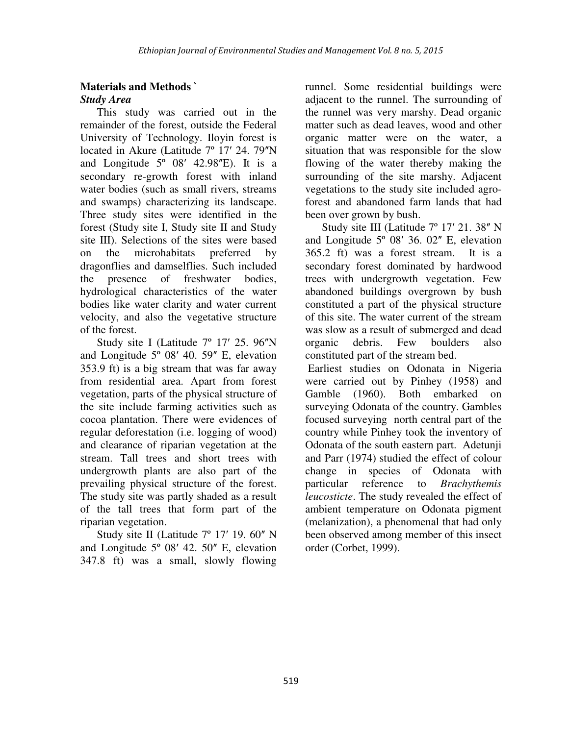# **Materials and Methods `**

### *Study Area*

This study was carried out in the remainder of the forest, outside the Federal University of Technology. Iloyin forest is located in Akure (Latitude 7° 17′ 24. 79"N and Longitude  $5^{\circ}$  08' 42.98"E). It is a secondary re-growth forest with inland water bodies (such as small rivers, streams and swamps) characterizing its landscape. Three study sites were identified in the forest (Study site I, Study site II and Study site III). Selections of the sites were based on the microhabitats preferred by dragonflies and damselflies. Such included the presence of freshwater bodies, hydrological characteristics of the water bodies like water clarity and water current velocity, and also the vegetative structure of the forest.

Study site I (Latitude  $7^{\circ}$  17' 25. 96"N and Longitude  $5^{\circ}$  08' 40.  $59''$  E, elevation 353.9 ft) is a big stream that was far away from residential area. Apart from forest vegetation, parts of the physical structure of the site include farming activities such as cocoa plantation. There were evidences of regular deforestation (i.e. logging of wood) and clearance of riparian vegetation at the stream. Tall trees and short trees with undergrowth plants are also part of the prevailing physical structure of the forest. The study site was partly shaded as a result of the tall trees that form part of the riparian vegetation.

Study site II (Latitude  $7^{\circ}$  17' 19. 60" N and Longitude  $5^{\circ}$  08' 42.  $50^{\prime\prime}$  E, elevation 347.8 ft) was a small, slowly flowing runnel. Some residential buildings were adjacent to the runnel. The surrounding of the runnel was very marshy. Dead organic matter such as dead leaves, wood and other organic matter were on the water, a situation that was responsible for the slow flowing of the water thereby making the surrounding of the site marshy. Adjacent vegetations to the study site included agroforest and abandoned farm lands that had been over grown by bush.

Study site III (Latitude  $7^{\circ}$  17' 21. 38" N and Longitude 5° 08′ 36. 02″ E, elevation 365.2 ft) was a forest stream. It is a secondary forest dominated by hardwood trees with undergrowth vegetation. Few abandoned buildings overgrown by bush constituted a part of the physical structure of this site. The water current of the stream was slow as a result of submerged and dead organic debris. Few boulders also constituted part of the stream bed.

 Earliest studies on Odonata in Nigeria were carried out by Pinhey (1958) and Gamble (1960). Both embarked on surveying Odonata of the country. Gambles focused surveying north central part of the country while Pinhey took the inventory of Odonata of the south eastern part. Adetunji and Parr (1974) studied the effect of colour change in species of Odonata with particular reference to *Brachythemis leucosticte*. The study revealed the effect of ambient temperature on Odonata pigment (melanization), a phenomenal that had only been observed among member of this insect order (Corbet, 1999).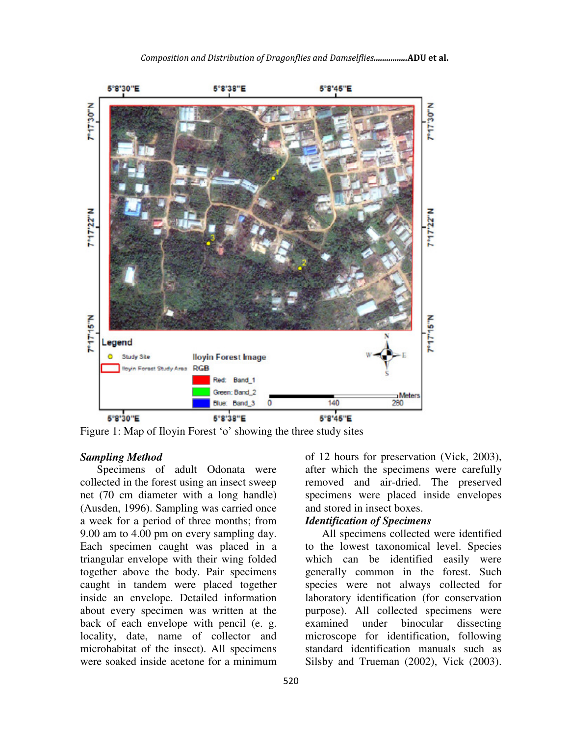

Figure 1: Map of Iloyin Forest 'ο' showing the three study sites

#### *Sampling Method*

Specimens of adult Odonata were collected in the forest using an insect sweep net (70 cm diameter with a long handle) (Ausden, 1996). Sampling was carried once a week for a period of three months; from 9.00 am to 4.00 pm on every sampling day. Each specimen caught was placed in a triangular envelope with their wing folded together above the body. Pair specimens caught in tandem were placed together inside an envelope. Detailed information about every specimen was written at the back of each envelope with pencil (e. g. locality, date, name of collector and microhabitat of the insect). All specimens were soaked inside acetone for a minimum of 12 hours for preservation (Vick, 2003), after which the specimens were carefully removed and air-dried. The preserved specimens were placed inside envelopes and stored in insect boxes.

#### *Identification of Specimens*

All specimens collected were identified to the lowest taxonomical level. Species which can be identified easily were generally common in the forest. Such species were not always collected for laboratory identification (for conservation purpose). All collected specimens were examined under binocular dissecting microscope for identification, following standard identification manuals such as Silsby and Trueman (2002), Vick (2003).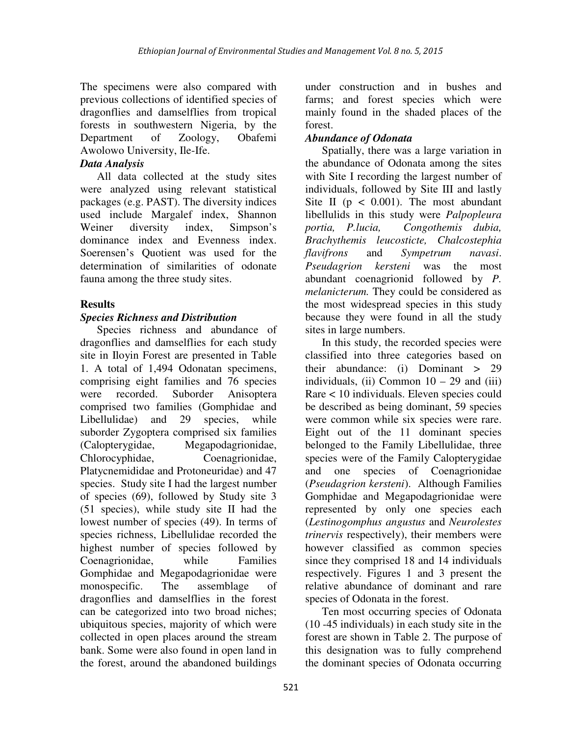The specimens were also compared with previous collections of identified species of dragonflies and damselflies from tropical forests in southwestern Nigeria, by the Department of Zoology, Obafemi Awolowo University, Ile-Ife.

## *Data Analysis*

All data collected at the study sites were analyzed using relevant statistical packages (e.g. PAST). The diversity indices used include Margalef index, Shannon Weiner diversity index, Simpson's dominance index and Evenness index. Soerensen's Quotient was used for the determination of similarities of odonate fauna among the three study sites.

## **Results**

### *Species Richness and Distribution*

Species richness and abundance of dragonflies and damselflies for each study site in Iloyin Forest are presented in Table 1. A total of 1,494 Odonatan specimens, comprising eight families and 76 species were recorded. Suborder Anisoptera comprised two families (Gomphidae and Libellulidae) and 29 species, while suborder Zygoptera comprised six families (Calopterygidae, Megapodagrionidae, Chlorocyphidae, Coenagrionidae, Platycnemididae and Protoneuridae) and 47 species. Study site I had the largest number of species (69), followed by Study site 3 (51 species), while study site II had the lowest number of species (49). In terms of species richness, Libellulidae recorded the highest number of species followed by Coenagrionidae, while Families Gomphidae and Megapodagrionidae were monospecific. The assemblage of dragonflies and damselflies in the forest can be categorized into two broad niches; ubiquitous species, majority of which were collected in open places around the stream bank. Some were also found in open land in the forest, around the abandoned buildings under construction and in bushes and farms; and forest species which were mainly found in the shaded places of the forest.

### *Abundance of Odonata*

Spatially, there was a large variation in the abundance of Odonata among the sites with Site I recording the largest number of individuals, followed by Site III and lastly Site II ( $p < 0.001$ ). The most abundant libellulids in this study were *Palpopleura portia, P.lucia, Congothemis dubia, Brachythemis leucosticte, Chalcostephia flavifrons* and *Sympetrum navasi*. *Pseudagrion kersteni* was the most abundant coenagrionid followed by *P. melanicterum.* They could be considered as the most widespread species in this study because they were found in all the study sites in large numbers.

In this study, the recorded species were classified into three categories based on their abundance: (i) Dominant  $> 29$ individuals, (ii) Common  $10 - 29$  and (iii) Rare < 10 individuals. Eleven species could be described as being dominant, 59 species were common while six species were rare. Eight out of the 11 dominant species belonged to the Family Libellulidae, three species were of the Family Calopterygidae and one species of Coenagrionidae (*Pseudagrion kersteni*). Although Families Gomphidae and Megapodagrionidae were represented by only one species each (*Lestinogomphus angustus* and *Neurolestes trinervis* respectively), their members were however classified as common species since they comprised 18 and 14 individuals respectively. Figures 1 and 3 present the relative abundance of dominant and rare species of Odonata in the forest.

Ten most occurring species of Odonata (10 -45 individuals) in each study site in the forest are shown in Table 2. The purpose of this designation was to fully comprehend the dominant species of Odonata occurring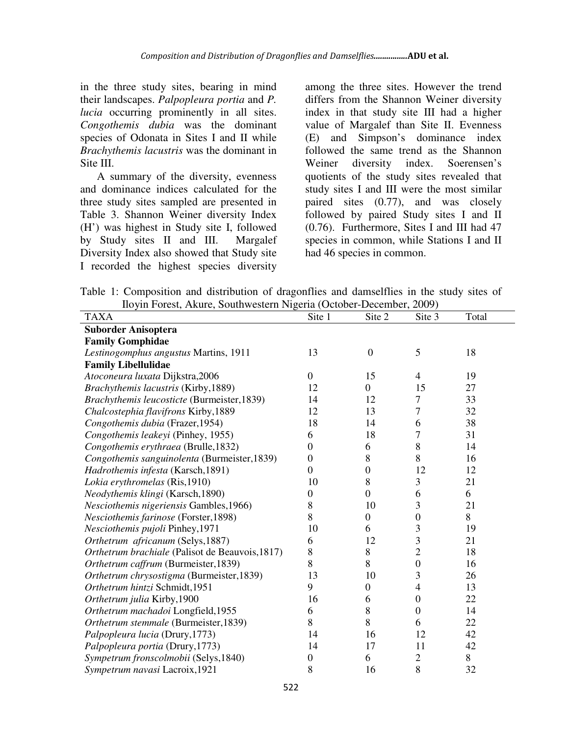in the three study sites, bearing in mind their landscapes. *Palpopleura portia* and *P. lucia* occurring prominently in all sites. *Congothemis dubia* was the dominant species of Odonata in Sites I and II while *Brachythemis lacustris* was the dominant in Site III.

A summary of the diversity, evenness and dominance indices calculated for the three study sites sampled are presented in Table 3. Shannon Weiner diversity Index (H') was highest in Study site I, followed by Study sites II and III. Margalef Diversity Index also showed that Study site I recorded the highest species diversity among the three sites. However the trend differs from the Shannon Weiner diversity index in that study site III had a higher value of Margalef than Site II. Evenness (E) and Simpson's dominance index followed the same trend as the Shannon Weiner diversity index. Soerensen's quotients of the study sites revealed that study sites I and III were the most similar paired sites (0.77), and was closely followed by paired Study sites I and II (0.76). Furthermore, Sites I and III had 47 species in common, while Stations I and II had 46 species in common.

Table 1: Composition and distribution of dragonflies and damselflies in the study sites of Iloyin Forest, Akure, Southwestern Nigeria (October-December, 2009)

| HOYIN I OIUSI, AKUIU, SOUMIWUSIUM I VIEUMA (OUWOU-DUUCHNOI, 2007)<br><b>TAXA</b> | Site 1           | Site 2           | Site 3           | Total |
|----------------------------------------------------------------------------------|------------------|------------------|------------------|-------|
| <b>Suborder Anisoptera</b>                                                       |                  |                  |                  |       |
| <b>Family Gomphidae</b>                                                          |                  |                  |                  |       |
| Lestinogomphus angustus Martins, 1911                                            | 13               | $\boldsymbol{0}$ | 5                | 18    |
| <b>Family Libellulidae</b>                                                       |                  |                  |                  |       |
| Atoconeura luxata Dijkstra,2006                                                  | $\overline{0}$   | 15               | $\overline{4}$   | 19    |
| Brachythemis lacustris (Kirby, 1889)                                             | 12               | $\theta$         | 15               | 27    |
| Brachythemis leucosticte (Burmeister, 1839)                                      | 14               | 12               | 7                | 33    |
| Chalcostephia flavifrons Kirby, 1889                                             | 12               | 13               | 7                | 32    |
| Congothemis dubia (Frazer, 1954)                                                 | 18               | 14               | 6                | 38    |
| Congothemis leakeyi (Pinhey, 1955)                                               | 6                | 18               | 7                | 31    |
| Congothemis erythraea (Brulle, 1832)                                             | $\mathbf{0}$     | 6                | 8                | 14    |
| Congothemis sanguinolenta (Burmeister, 1839)                                     | $\overline{0}$   | 8                | 8                | 16    |
| Hadrothemis infesta (Karsch, 1891)                                               | $\overline{0}$   | $\overline{0}$   | 12               | 12    |
| Lokia erythromelas (Ris, 1910)                                                   | 10               | 8                | 3                | 21    |
| Neodythemis klingi (Karsch, 1890)                                                | $\boldsymbol{0}$ | $\mathbf{0}$     | 6                | 6     |
| Nesciothemis nigeriensis Gambles, 1966)                                          | 8                | 10               | 3                | 21    |
| Nesciothemis farinose (Forster, 1898)                                            | 8                | $\theta$         | $\boldsymbol{0}$ | 8     |
| Nesciothemis pujoli Pinhey, 1971                                                 | 10               | 6                | 3                | 19    |
| Orthetrum africanum (Selys, 1887)                                                | 6                | 12               | 3                | 21    |
| Orthetrum brachiale (Palisot de Beauvois, 1817)                                  | 8                | 8                | $\overline{c}$   | 18    |
| Orthetrum caffrum (Burmeister, 1839)                                             | 8                | 8                | $\boldsymbol{0}$ | 16    |
| Orthetrum chrysostigma (Burmeister, 1839)                                        | 13               | 10               | 3                | 26    |
| Orthetrum hintzi Schmidt, 1951                                                   | 9                | $\overline{0}$   | $\overline{4}$   | 13    |
| Orthetrum julia Kirby, 1900                                                      | 16               | 6                | $\boldsymbol{0}$ | 22    |
| Orthetrum machadoi Longfield, 1955                                               | 6                | 8                | $\boldsymbol{0}$ | 14    |
| Orthetrum stemmale (Burmeister, 1839)                                            | 8                | 8                | 6                | 22    |
| Palpopleura lucia (Drury, 1773)                                                  | 14               | 16               | 12               | 42    |
| Palpopleura portia (Drury, 1773)                                                 | 14               | 17               | 11               | 42    |
| Sympetrum fronscolmobii (Selys, 1840)                                            | $\overline{0}$   | 6                | $\overline{2}$   | 8     |
| Sympetrum navasi Lacroix, 1921                                                   | 8                | 16               | 8                | 32    |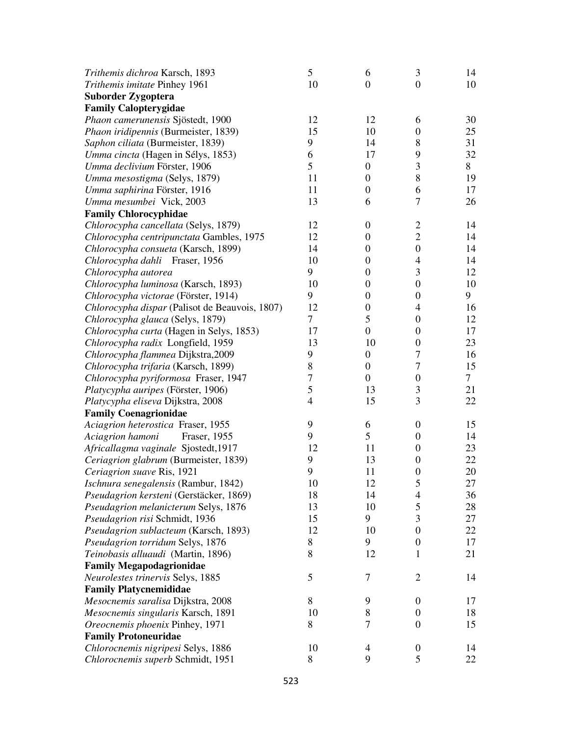| Trithemis dichroa Karsch, 1893                 | 5  | 6                | 3                        | 14             |
|------------------------------------------------|----|------------------|--------------------------|----------------|
| Trithemis imitate Pinhey 1961                  | 10 | $\Omega$         | $\theta$                 | 10             |
| Suborder Zygoptera                             |    |                  |                          |                |
| <b>Family Calopterygidae</b>                   |    |                  |                          |                |
| Phaon camerunensis Sjöstedt, 1900              | 12 | 12               | 6                        | 30             |
| Phaon iridipennis (Burmeister, 1839)           | 15 | 10               | $\boldsymbol{0}$         | 25             |
| Saphon ciliata (Burmeister, 1839)              | 9  | 14               | 8                        | 31             |
| Umma cincta (Hagen in Sélys, 1853)             | 6  | 17               | 9                        | 32             |
| Umma declivium Förster, 1906                   | 5  | $\boldsymbol{0}$ | 3                        | 8              |
| Umma mesostigma (Selys, 1879)                  | 11 | $\boldsymbol{0}$ | 8                        | 19             |
| Umma saphirina Förster, 1916                   | 11 | $\boldsymbol{0}$ | 6                        | 17             |
| Umma mesumbei Vick, 2003                       | 13 | 6                | 7                        | 26             |
| <b>Family Chlorocyphidae</b>                   |    |                  |                          |                |
| Chlorocypha cancellata (Selys, 1879)           | 12 | $\boldsymbol{0}$ | $\overline{c}$           | 14             |
| Chlorocypha centripunctata Gambles, 1975       | 12 | $\boldsymbol{0}$ | $\overline{2}$           | 14             |
| Chlorocypha consueta (Karsch, 1899)            | 14 | $\boldsymbol{0}$ | $\boldsymbol{0}$         | 14             |
| Chlorocypha dahli Fraser, 1956                 | 10 | $\boldsymbol{0}$ | 4                        | 14             |
| Chlorocypha autorea                            | 9  | $\boldsymbol{0}$ | 3                        | 12             |
| Chlorocypha luminosa (Karsch, 1893)            | 10 | $\boldsymbol{0}$ | $\boldsymbol{0}$         | 10             |
| Chlorocypha victorae (Förster, 1914)           | 9  | $\boldsymbol{0}$ | $\boldsymbol{0}$         | 9              |
| Chlorocypha dispar (Palisot de Beauvois, 1807) | 12 | $\boldsymbol{0}$ | 4                        | 16             |
| Chlorocypha glauca (Selys, 1879)               | 7  | 5                | $\boldsymbol{0}$         | 12             |
| Chlorocypha curta (Hagen in Selys, 1853)       | 17 | $\boldsymbol{0}$ | $\boldsymbol{0}$         | 17             |
| Chlorocypha radix Longfield, 1959              | 13 | 10               | $\boldsymbol{0}$         | 23             |
| Chlorocypha flammea Dijkstra, 2009             | 9  | $\boldsymbol{0}$ | 7                        | 16             |
| Chlorocypha trifaria (Karsch, 1899)            | 8  | $\boldsymbol{0}$ | $\overline{7}$           | 15             |
| Chlorocypha pyriformosa Fraser, 1947           | 7  | $\boldsymbol{0}$ | $\boldsymbol{0}$         | $\overline{7}$ |
| Platycypha auripes (Förster, 1906)             | 5  | 13               | 3                        | 21             |
| Platycypha eliseva Dijkstra, 2008              | 4  | 15               | 3                        | 22             |
| <b>Family Coenagrionidae</b>                   |    |                  |                          |                |
| Aciagrion heterostica Fraser, 1955             | 9  | 6                | $\boldsymbol{0}$         | 15             |
| Aciagrion hamoni<br>Fraser, 1955               | 9  | 5                | $\boldsymbol{0}$         | 14             |
| Africallagma vaginale Sjostedt, 1917           | 12 | 11               | $\boldsymbol{0}$         | 23             |
| Ceriagrion glabrum (Burmeister, 1839)          | 9  | 13               | $\overline{0}$           | 22             |
| Ceriagrion suave Ris, 1921                     | 9  | 11               | $\boldsymbol{0}$         | 20             |
| Ischnura senegalensis (Rambur, 1842)           | 10 | 12               | 5                        | 27             |
| Pseudagrion kersteni (Gerstäcker, 1869)        | 18 | 14               | $\overline{\mathcal{L}}$ | 36             |
| Pseudagrion melanicterum Selys, 1876           | 13 | 10               | 5                        | 28             |
| Pseudagrion risi Schmidt, 1936                 | 15 | 9                | 3                        | 27             |
| Pseudagrion sublacteum (Karsch, 1893)          | 12 | 10               | $\boldsymbol{0}$         | 22             |
| Pseudagrion torridum Selys, 1876               | 8  | 9                | $\boldsymbol{0}$         | 17             |
| Teinobasis alluaudi (Martin, 1896)             | 8  | 12               | 1                        | 21             |
|                                                |    |                  |                          |                |
| <b>Family Megapodagrionidae</b>                | 5  | 7                | $\overline{2}$           |                |
| Neurolestes trinervis Selys, 1885              |    |                  |                          | 14             |
| <b>Family Platycnemididae</b>                  | 8  |                  |                          |                |
| Mesocnemis saralisa Dijkstra, 2008             |    | 9                | $\boldsymbol{0}$         | 17             |
| Mesocnemis singularis Karsch, 1891             | 10 | $8\,$            | $\boldsymbol{0}$         | 18             |
| Oreocnemis phoenix Pinhey, 1971                | 8  | 7                | $\Omega$                 | 15             |
| <b>Family Protoneuridae</b>                    |    |                  |                          |                |
| Chlorocnemis nigripesi Selys, 1886             | 10 | 4                | $\boldsymbol{0}$         | 14             |
| Chlorocnemis superb Schmidt, 1951              | 8  | 9                | 5                        | 22             |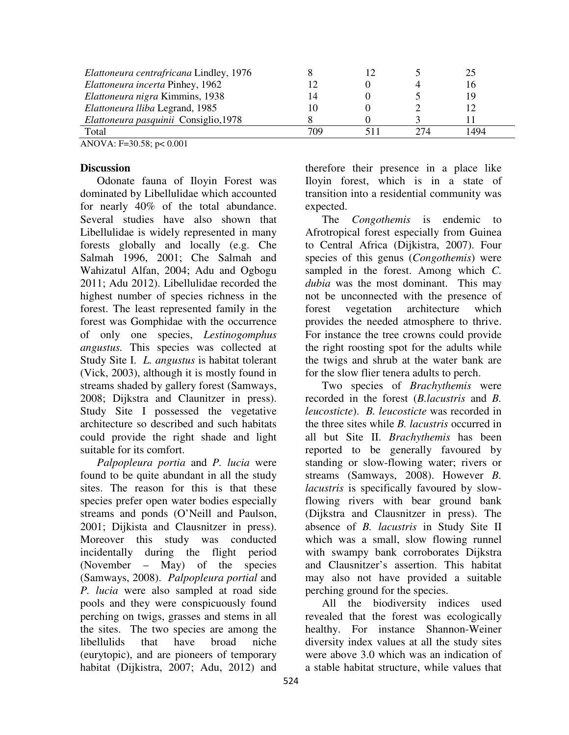| Elattoneura centrafricana Lindley, 1976 |     |     |     |
|-----------------------------------------|-----|-----|-----|
| Elattoneura incerta Pinhey, 1962        |     |     |     |
| Elattoneura nigra Kimmins, 1938         | 14  |     | -9  |
| Elattoneura Iliba Legrand, 1985         | 10  |     |     |
| Elattoneura pasquinii Consiglio, 1978   |     |     |     |
| Total                                   | 709 | 274 | 494 |

ANOVA: F=30.58; p< 0.001

#### **Discussion**

Odonate fauna of Iloyin Forest was dominated by Libellulidae which accounted for nearly 40% of the total abundance. Several studies have also shown that Libellulidae is widely represented in many forests globally and locally (e.g. Che Salmah 1996, 2001; Che Salmah and Wahizatul Alfan, 2004; Adu and Ogbogu 2011; Adu 2012). Libellulidae recorded the highest number of species richness in the forest. The least represented family in the forest was Gomphidae with the occurrence of only one species, *Lestinogomphus angustus.* This species was collected at Study Site I. *L. angustus* is habitat tolerant (Vick, 2003), although it is mostly found in streams shaded by gallery forest (Samways, 2008; Dijkstra and Claunitzer in press). Study Site I possessed the vegetative architecture so described and such habitats could provide the right shade and light suitable for its comfort.

*Palpopleura portia* and *P. lucia* were found to be quite abundant in all the study sites. The reason for this is that these species prefer open water bodies especially streams and ponds (O'Neill and Paulson, 2001; Dijkista and Clausnitzer in press). Moreover this study was conducted incidentally during the flight period (November – May) of the species (Samways, 2008). *Palpopleura portial* and *P. lucia* were also sampled at road side pools and they were conspicuously found perching on twigs, grasses and stems in all the sites. The two species are among the libellulids that have broad niche (eurytopic), and are pioneers of temporary habitat (Dijkistra, 2007; Adu, 2012) and

therefore their presence in a place like Iloyin forest, which is in a state of transition into a residential community was expected.

The *Congothemis* is endemic to Afrotropical forest especially from Guinea to Central Africa (Dijkistra, 2007). Four species of this genus (*Congothemis*) were sampled in the forest. Among which *C. dubia* was the most dominant. This may not be unconnected with the presence of forest vegetation architecture which provides the needed atmosphere to thrive. For instance the tree crowns could provide the right roosting spot for the adults while the twigs and shrub at the water bank are for the slow flier tenera adults to perch.

Two species of *Brachythemis* were recorded in the forest (*B.lacustris* and *B. leucosticte*). *B. leucosticte* was recorded in the three sites while *B. lacustris* occurred in all but Site II. *Brachythemis* has been reported to be generally favoured by standing or slow-flowing water; rivers or streams (Samways, 2008). However *B. lacustris* is specifically favoured by slowflowing rivers with bear ground bank (Dijkstra and Clausnitzer in press). The absence of *B. lacustris* in Study Site II which was a small, slow flowing runnel with swampy bank corroborates Dijkstra and Clausnitzer's assertion. This habitat may also not have provided a suitable perching ground for the species.

All the biodiversity indices used revealed that the forest was ecologically healthy. For instance Shannon-Weiner diversity index values at all the study sites were above 3.0 which was an indication of a stable habitat structure, while values that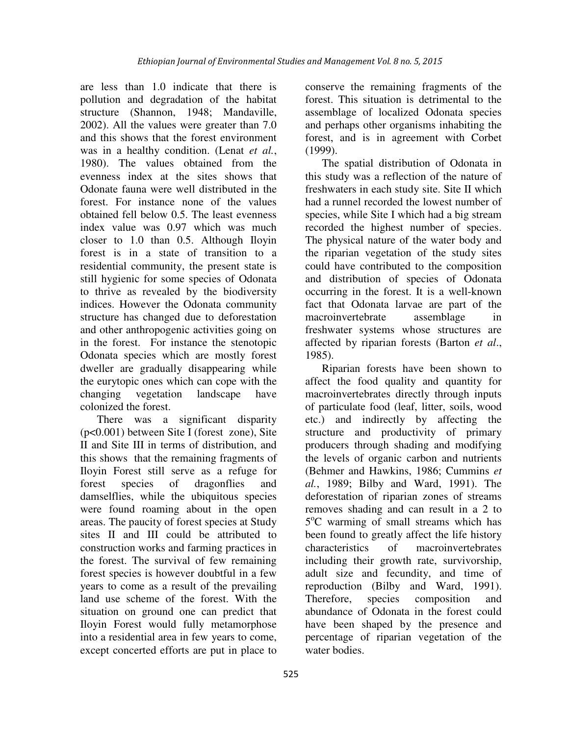are less than 1.0 indicate that there is pollution and degradation of the habitat structure (Shannon, 1948; Mandaville, 2002). All the values were greater than 7.0 and this shows that the forest environment was in a healthy condition. (Lenat *et al.*, 1980). The values obtained from the evenness index at the sites shows that Odonate fauna were well distributed in the forest. For instance none of the values obtained fell below 0.5. The least evenness index value was 0.97 which was much closer to 1.0 than 0.5. Although Iloyin forest is in a state of transition to a residential community, the present state is still hygienic for some species of Odonata to thrive as revealed by the biodiversity indices. However the Odonata community structure has changed due to deforestation and other anthropogenic activities going on in the forest. For instance the stenotopic Odonata species which are mostly forest dweller are gradually disappearing while the eurytopic ones which can cope with the changing vegetation landscape have colonized the forest.

There was a significant disparity (p<0.001) between Site I (forest zone), Site II and Site III in terms of distribution, and this shows that the remaining fragments of Iloyin Forest still serve as a refuge for forest species of dragonflies and damselflies, while the ubiquitous species were found roaming about in the open areas. The paucity of forest species at Study sites II and III could be attributed to construction works and farming practices in the forest. The survival of few remaining forest species is however doubtful in a few years to come as a result of the prevailing land use scheme of the forest. With the situation on ground one can predict that Iloyin Forest would fully metamorphose into a residential area in few years to come, except concerted efforts are put in place to

conserve the remaining fragments of the forest. This situation is detrimental to the assemblage of localized Odonata species and perhaps other organisms inhabiting the forest, and is in agreement with Corbet (1999).

The spatial distribution of Odonata in this study was a reflection of the nature of freshwaters in each study site. Site II which had a runnel recorded the lowest number of species, while Site I which had a big stream recorded the highest number of species. The physical nature of the water body and the riparian vegetation of the study sites could have contributed to the composition and distribution of species of Odonata occurring in the forest. It is a well-known fact that Odonata larvae are part of the macroinvertebrate assemblage in freshwater systems whose structures are affected by riparian forests (Barton *et al*., 1985).

Riparian forests have been shown to affect the food quality and quantity for macroinvertebrates directly through inputs of particulate food (leaf, litter, soils, wood etc.) and indirectly by affecting the structure and productivity of primary producers through shading and modifying the levels of organic carbon and nutrients (Behmer and Hawkins, 1986; Cummins *et al.*, 1989; Bilby and Ward, 1991). The deforestation of riparian zones of streams removes shading and can result in a 2 to 5°C warming of small streams which has been found to greatly affect the life history characteristics of macroinvertebrates including their growth rate, survivorship, adult size and fecundity, and time of reproduction (Bilby and Ward, 1991). Therefore, species composition and abundance of Odonata in the forest could have been shaped by the presence and percentage of riparian vegetation of the water bodies.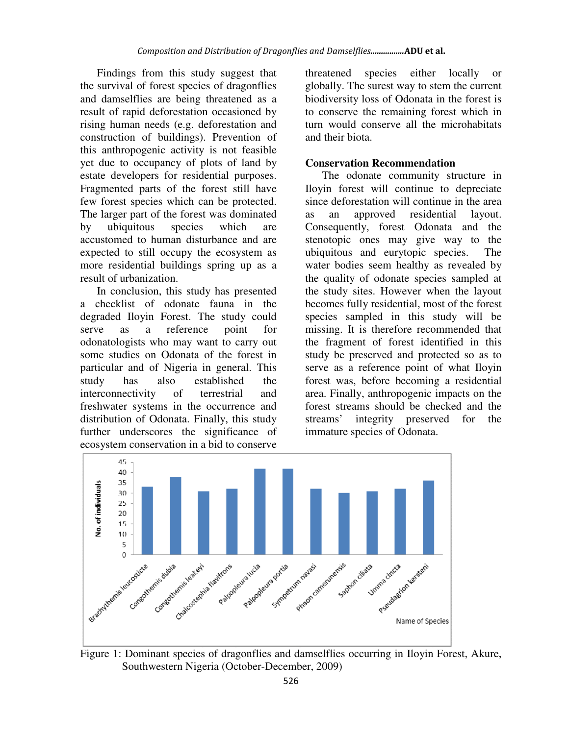Findings from this study suggest that the survival of forest species of dragonflies and damselflies are being threatened as a result of rapid deforestation occasioned by rising human needs (e.g. deforestation and construction of buildings). Prevention of this anthropogenic activity is not feasible yet due to occupancy of plots of land by estate developers for residential purposes. Fragmented parts of the forest still have few forest species which can be protected. The larger part of the forest was dominated by ubiquitous species which are accustomed to human disturbance and are expected to still occupy the ecosystem as more residential buildings spring up as a result of urbanization.

In conclusion, this study has presented a checklist of odonate fauna in the degraded Iloyin Forest. The study could serve as a reference point for odonatologists who may want to carry out some studies on Odonata of the forest in particular and of Nigeria in general. This study has also established the interconnectivity of terrestrial and freshwater systems in the occurrence and distribution of Odonata. Finally, this study further underscores the significance of ecosystem conservation in a bid to conserve

threatened species either locally or globally. The surest way to stem the current biodiversity loss of Odonata in the forest is to conserve the remaining forest which in turn would conserve all the microhabitats and their biota.

#### **Conservation Recommendation**

The odonate community structure in Iloyin forest will continue to depreciate since deforestation will continue in the area as an approved residential layout. Consequently, forest Odonata and the stenotopic ones may give way to the ubiquitous and eurytopic species. The water bodies seem healthy as revealed by the quality of odonate species sampled at the study sites. However when the layout becomes fully residential, most of the forest species sampled in this study will be missing. It is therefore recommended that the fragment of forest identified in this study be preserved and protected so as to serve as a reference point of what Iloyin forest was, before becoming a residential area. Finally, anthropogenic impacts on the forest streams should be checked and the streams' integrity preserved for the immature species of Odonata.



Figure 1: Dominant species of dragonflies and damselflies occurring in Iloyin Forest, Akure, Southwestern Nigeria (October-December, 2009)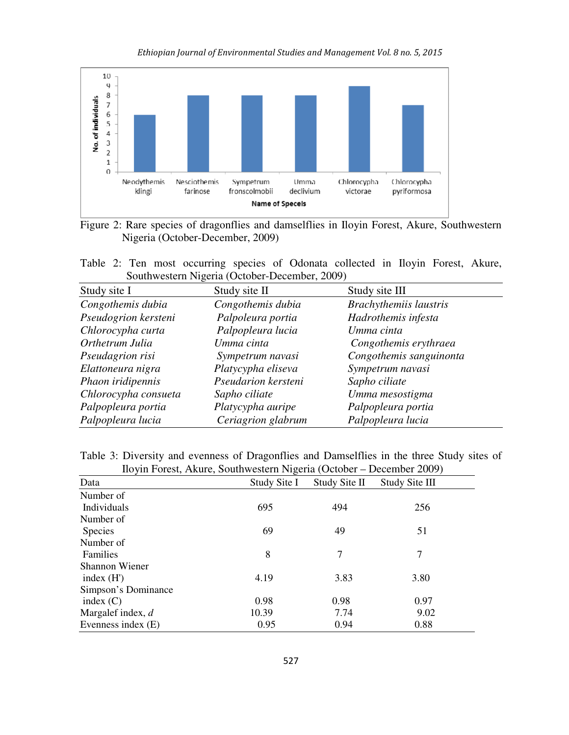



Figure 2: Rare species of dragonflies and damselflies in Iloyin Forest, Akure, Southwestern Nigeria (October-December, 2009)

Table 2: Ten most occurring species of Odonata collected in Iloyin Forest, Akure, Southwestern Nigeria (October-December, 2009)

| Study site I         | Study site II       | Study site III                |
|----------------------|---------------------|-------------------------------|
| Congothemis dubia    | Congothemis dubia   | <b>Brachythemiis laustris</b> |
| Pseudogrion kersteni | Palpoleura portia   | Hadrothemis infesta           |
| Chlorocypha curta    | Palpopleura lucia   | Umma cinta                    |
| Orthetrum Julia      | Umma cinta          | Congothemis erythraea         |
| Pseudagrion risi     | Sympetrum navasi    | Congothemis sanguinonta       |
| Elattoneura nigra    | Platycypha eliseva  | Sympetrum navasi              |
| Phaon iridipennis    | Pseudarion kersteni | Sapho ciliate                 |
| Chlorocypha consueta | Sapho ciliate       | Umma mesostigma               |
| Palpopleura portia   | Platycypha auripe   | Palpopleura portia            |
| Palpopleura lucia    | Ceriagrion glabrum  | Palpopleura lucia             |

Table 3: Diversity and evenness of Dragonflies and Damselflies in the three Study sites of Iloyin Forest, Akure, Southwestern Nigeria (October – December 2009)

| Data                  | Study Site I | Study Site II | Study Site III |
|-----------------------|--------------|---------------|----------------|
| Number of             |              |               |                |
| Individuals           | 695          | 494           | 256            |
| Number of             |              |               |                |
| <b>Species</b>        | 69           | 49            | 51             |
| Number of             |              |               |                |
| <b>Families</b>       | 8            | 7             | 7              |
| <b>Shannon Wiener</b> |              |               |                |
| index $(H')$          | 4.19         | 3.83          | 3.80           |
| Simpson's Dominance   |              |               |                |
| index $(C)$           | 0.98         | 0.98          | 0.97           |
| Margalef index, d     | 10.39        | 7.74          | 9.02           |
| Evenness index (E)    | 0.95         | 0.94          | 0.88           |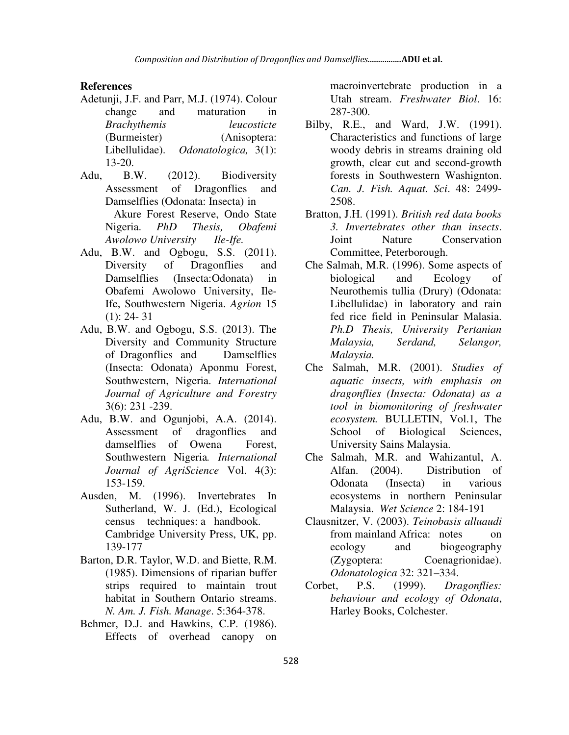#### **References**

- Adetunji, J.F. and Parr, M.J. (1974). Colour change and maturation in *Brachythemis leucosticte* (Burmeister) (Anisoptera: Libellulidae). *Odonatologica,* 3(1): 13-20.
- Adu, B.W. (2012). Biodiversity Assessment of Dragonflies and Damselflies (Odonata: Insecta) in Akure Forest Reserve, Ondo State Nigeria. *PhD Thesis, Obafemi Awolowo University Ile-Ife.*
- Adu, B.W. and Ogbogu, S.S. (2011). Diversity of Dragonflies and Damselflies (Insecta:Odonata) in Obafemi Awolowo University, Ile-Ife, Southwestern Nigeria. *Agrion* 15 (1): 24- 31
- Adu, B.W. and Ogbogu, S.S. (2013). The Diversity and Community Structure of Dragonflies and Damselflies (Insecta: Odonata) Aponmu Forest, Southwestern, Nigeria. *International Journal of Agriculture and Forestry* 3(6): 231 -239.
- Adu, B.W. and Ogunjobi, A.A. (2014). Assessment of dragonflies and damselflies of Owena Forest, Southwestern Nigeria*. International Journal of AgriScience* Vol. 4(3): 153-159.
- Ausden, M. (1996). Invertebrates In Sutherland, W. J. (Ed.), Ecological census techniques: a handbook. Cambridge University Press, UK, pp. 139-177
- Barton, D.R. Taylor, W.D. and Biette, R.M. (1985). Dimensions of riparian buffer strips required to maintain trout habitat in Southern Ontario streams. *N. Am. J. Fish. Manage*. 5:364-378.
- Behmer, D.J. and Hawkins, C.P. (1986). Effects of overhead canopy on

macroinvertebrate production in a Utah stream. *Freshwater Biol*. 16: 287-300.

- Bilby, R.E., and Ward, J.W. (1991). Characteristics and functions of large woody debris in streams draining old growth, clear cut and second-growth forests in Southwestern Washignton. *Can. J. Fish. Aquat. Sci*. 48: 2499- 2508.
- Bratton, J.H. (1991). *British red data books 3. Invertebrates other than insects*. Joint Nature Conservation Committee, Peterborough.
- Che Salmah, M.R. (1996). Some aspects of biological and Ecology of Neurothemis tullia (Drury) (Odonata: Libellulidae) in laboratory and rain fed rice field in Peninsular Malasia. *Ph.D Thesis, University Pertanian Malaysia, Serdand, Selangor, Malaysia.*
- Che Salmah, M.R. (2001). *Studies of aquatic insects, with emphasis on dragonflies (Insecta: Odonata) as a tool in biomonitoring of freshwater ecosystem.* BULLETIN, Vol.1, The School of Biological Sciences, University Sains Malaysia.
- Che Salmah, M.R. and Wahizantul, A. Alfan. (2004). Distribution of Odonata (Insecta) in various ecosystems in northern Peninsular Malaysia. *Wet Science* 2: 184-191
- Clausnitzer, V. (2003). *Teinobasis alluaudi*  from mainland Africa: notes on ecology and biogeography (Zygoptera: Coenagrionidae). *Odonatologica* 32: 321–334.
- Corbet, P.S. (1999). *Dragonflies: behaviour and ecology of Odonata*, Harley Books, Colchester.